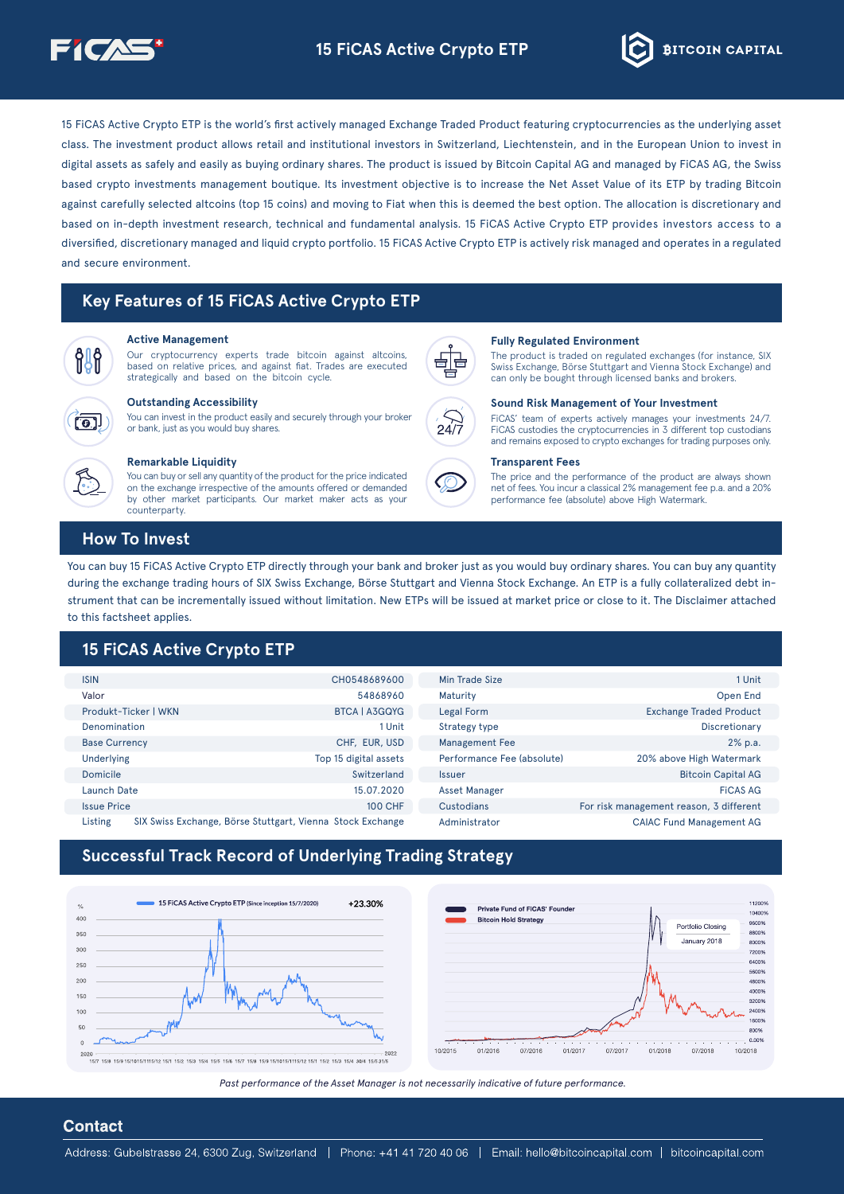



15 FICAS Active Crypto ETP is the world's first actively managed Exchange Traded Product featuring cryptocurrencies as the underlying asset class. The investment product allows retail and institutional investors in Switzerland. Liechtenstein, and in the European Union to invest in digital assets as safely and easily as buying ordinary shares. The product is issued by Bitcoin Capital AG and managed by FiCAS AG, the Swiss based crypto investments management boutique. Its investment objective is to increase the Net Asset Value of its ETP by trading Bitcoin against carefully selected altcoins (top 15 coins) and moving to Fiat when this is deemed the best option. The allocation is discretionary and based on in-depth investment research, technical and fundamental analysis. 15 FICAS Active Crypto ETP provides investors access to a diversified, discretionary managed and liquid crypto portfolio. 15 FICAS Active Crypto ETP is actively risk managed and operates in a regulated and secure environment

# **Key Features of 15 FICAS Active Crypto ETP**



Our cryptocurrency experts trade bitcoin against alteoins, based on relative prices, and against fiat. Trades are executed strategically and based on the bitcoin cycle.



### **Accessibility**

You can invest in the product easily and securely through your broker or bank, just as you would buy shares.



#### **Remarkable Liquidity**

You can buy or sell any quantity of the product for the price indicated on the exchange irrespective of the amounts offered or demanded by other market participants. Our market maker acts as your .counterparty



#### Active Management **Environment Environment Environment Regulated Environment**

The product is traded on regulated exchanges (for instance, SIX Swiss Exchange, Börse Stuttgart and Vienna Stock Exchange) and can only be bought through licensed banks and brokers.



#### **Sound Risk Management of Your Investment**

FICAS' team of experts actively manages your investments 24/7. FICAS custodies the cryptocurrencies in 3 different top custodians and remains exposed to crypto exchanges for trading purposes only.

#### **Transparent Fees**

The price and the performance of the product are always shown net of fees. You incur a classical 2% management fee p.a. and a 20% performance fee (absolute) above High Watermark

### **How To Invest**

You can buy 15 FICAS Active Crypto ETP directly through your bank and broker just as you would buy ordinary shares. You can buy any quantity strument that can be incrementally issued without limitation. New ETPs will be issued at market price or close to it. The Disclaimer attached during the exchange trading hours of SIX Swiss Exchange, Börse Stuttgart and Vienna Stock Exchange. An ETP is a fully collateralized debt into this factsheet applies.

# **15 FICAS Active Crypto ETP**

| <b>ISIN</b>                                                           | CH0548689600          | Min Trade Size             | 1 Unit                                  |
|-----------------------------------------------------------------------|-----------------------|----------------------------|-----------------------------------------|
| Valor                                                                 | 54868960              | Maturity                   | Open End                                |
| Produkt-Ticker   WKN                                                  | <b>BTCA   A3GQYG</b>  | Legal Form                 | <b>Exchange Traded Product</b>          |
| Denomination                                                          | 1 Unit                | Strategy type              | Discretionary                           |
| <b>Base Currency</b>                                                  | CHF, EUR, USD         | <b>Management Fee</b>      | 2% p.a.                                 |
| <b>Underlying</b>                                                     | Top 15 digital assets | Performance Fee (absolute) | 20% above High Watermark                |
| Domicile                                                              | Switzerland           | <b>Issuer</b>              | <b>Bitcoin Capital AG</b>               |
| Launch Date                                                           | 15.07.2020            | <b>Asset Manager</b>       | <b>FICAS AG</b>                         |
| <b>Issue Price</b>                                                    | <b>100 CHF</b>        | Custodians                 | For risk management reason, 3 different |
| Listing<br>SIX Swiss Exchange, Börse Stuttgart, Vienna Stock Exchange |                       | Administrator              | <b>CAIAC Fund Management AG</b>         |

# **Successful Track Record of Underlying Trading Strategy**



Past performance of the Asset Manager is not necessarily indicative of future performance.

### **Contact**